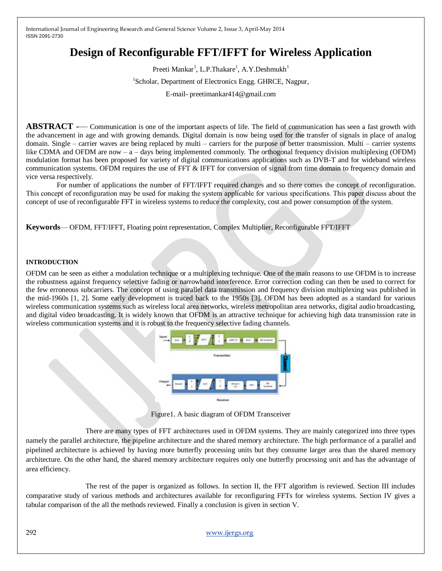# **Design of Reconfigurable FFT/IFFT for Wireless Application**

Preeti Mankar<sup>1</sup>, L.P.Thakare<sup>1</sup>, A.Y.Deshmukh<sup>1</sup> <sup>1</sup>Scholar, Department of Electronics Engg. GHRCE, Nagpur, E-mail- preetimankar414@gmail.com

**ABSTRACT** -— Communication is one of the important aspects of life. The field of communication has seen a fast growth with the advancement in age and with growing demands. Digital domain is now being used for the transfer of signals in place of analog domain. Single – carrier waves are being replaced by multi – carriers for the purpose of better transmission. Multi – carrier systems like CDMA and OFDM are now – a – days being implemented commonly. The orthogonal frequency division multiplexing (OFDM) modulation format has been proposed for variety of digital communications applications such as DVB-T and for wideband wireless communication systems. OFDM requires the use of FFT & IFFT for conversion of signal from time domain to frequency domain and vice versa respectively.

 For number of applications the number of FFT/IFFT required changes and so there comes the concept of reconfiguration. This concept of reconfiguration may be used for making the system applicable for various specifications. This paper discuss about the concept of use of reconfigurable FFT in wireless systems to reduce the complexity, cost and power consumption of the system.

**Keywords**— OFDM, FFT/IFFT, Floating point representation, Complex Multiplier, Reconfigurable FFT/IFFT

## **INTRODUCTION**

OFDM can be seen as either a modulation technique or a multiplexing technique. One of the main reasons to use OFDM is to increase the robustness against frequency selective fading or narrowband interference. Error correction coding can then be used to correct for the few erroneous subcarriers. The concept of using parallel data transmission and frequency division multiplexing was published in the mid-1960s [1, 2]. Some early development is traced back to the 1950s [3]. OFDM has been adopted as a standard for various wireless communication systems such as wireless local area networks, wireless metropolitan area networks, digital audio broadcasting, and digital video broadcasting. It is widely known that OFDM is an attractive technique for achieving high data transmission rate in wireless communication systems and it is robust to the frequency selective fading channels.



Figure1. A basic diagram of OFDM Transceiver

 There are many types of FFT architectures used in OFDM systems. They are mainly categorized into three types namely the parallel architecture, the pipeline architecture and the shared memory architecture. The high performance of a parallel and pipelined architecture is achieved by having more butterfly processing units but they consume larger area than the shared memory architecture. On the other hand, the shared memory architecture requires only one butterfly processing unit and has the advantage of area efficiency.

 The rest of the paper is organized as follows. In section II, the FFT algorithm is reviewed. Section III includes comparative study of various methods and architectures available for reconfiguring FFTs for wireless systems. Section IV gives a tabular comparison of the all the methods reviewed. Finally a conclusion is given in section V.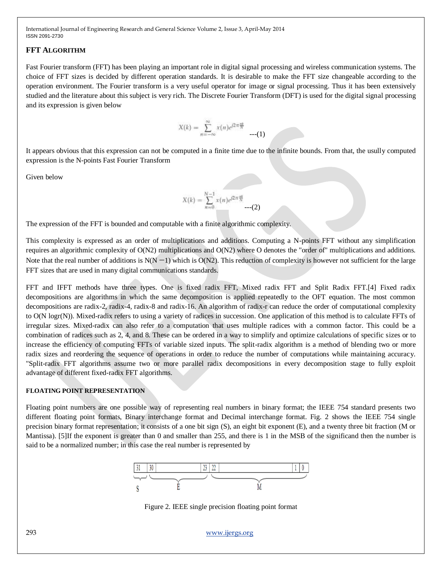## **FFT ALGORITHM**

Fast Fourier transform (FFT) has been playing an important role in digital signal processing and wireless communication systems. The choice of FFT sizes is decided by different operation standards. It is desirable to make the FFT size changeable according to the operation environment. The Fourier transform is a very useful operator for image or signal processing. Thus it has been extensively studied and the literature about this subject is very rich. The Discrete Fourier Transform (DFT) is used for the digital signal processing and its expression is given below

$$
X(k) = \sum_{n=-\infty}^{\infty} x(n)e^{j2\pi\frac{nk}{N}} \qquad (1)
$$

It appears obvious that this expression can not be computed in a finite time due to the infinite bounds. From that, the usully computed expression is the N-points Fast Fourier Transform

Given below

$$
X(k) = \sum_{n=0}^{N-1} x(n)e^{j2\pi \frac{nk}{N}} \cdots (2)
$$

The expression of the FFT is bounded and computable with a finite algorithmic complexity.

This complexity is expressed as an order of multiplications and additions. Computing a N-points FFT without any simplification requires an algorithmic complexity of O(N2) multiplications and O(N2) where O denotes the "order of" multiplications and additions. Note that the real number of additions is  $N(N-1)$  which is  $O(N2)$ . This reduction of complexity is however not sufficient for the large FFT sizes that are used in many digital communications standards.

FFT and IFFT methods have three types. One is fixed radix FFT, Mixed radix FFT and Split Radix FFT.[4] Fixed radix decompositions are algorithms in which the same decomposition is applied repeatedly to the OFT equation. The most common decompositions are radix-2, radix-4, radix-8 and radix-16. An algorithm of radix-r can reduce the order of computational complexity to O(N logr(N)). Mixed-radix refers to using a variety of radices in succession. One application of this method is to calculate FFTs of irregular sizes. Mixed-radix can also refer to a computation that uses multiple radices with a common factor. This could be a combination of radices such as 2, 4, and 8. These can be ordered in a way to simplify and optimize calculations of specific sizes or to increase the efficiency of computing FFTs of variable sized inputs. The split-radix algorithm is a method of blending two or more radix sizes and reordering the sequence of operations in order to reduce the number of computations while maintaining accuracy. "Split-radix FFT algorithms assume two or more parallel radix decompositions in every decomposition stage to fully exploit advantage of different fixed-radix FFT algorithms.

## **FLOATING POINT REPRESENTATION**

Floating point numbers are one possible way of representing real numbers in binary format; the IEEE 754 standard presents two different floating point formats, Binary interchange format and Decimal interchange format. Fig. 2 shows the IEEE 754 single precision binary format representation; it consists of a one bit sign (S), an eight bit exponent (E), and a twenty three bit fraction (M or Mantissa). [5]If the exponent is greater than 0 and smaller than 255, and there is 1 in the MSB of the significand then the number is said to be a normalized number; in this case the real number is represented by



Figure 2. IEEE single precision floating point format

293 [www.ijergs.org](http://www.ijergs.org/)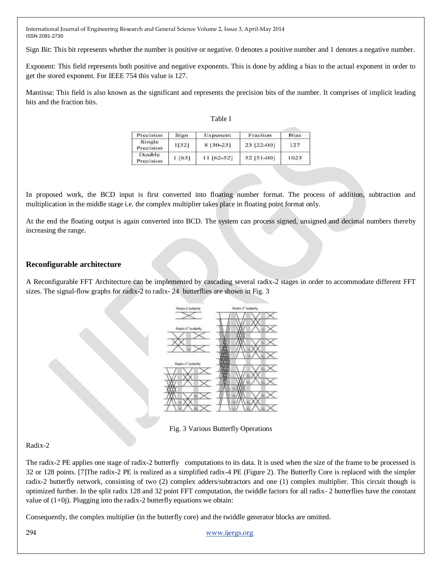Sign Bit: This bit represents whether the number is positive or negative. 0 denotes a positive number and 1 denotes a negative number.

Exponent: This field represents both positive and negative exponents. This is done by adding a bias to the actual exponent in order to get the stored exponent. For IEEE 754 this value is 127.

Mantissa: This field is also known as the significant and represents the precision bits of the number. It comprises of implicit leading bits and the fraction bits.

| ., |  |
|----|--|
|----|--|

| Precision           | Sign  | Exponent    | Fraction   | Bias |
|---------------------|-------|-------------|------------|------|
| Single<br>Precision | 11321 | 8 [30-23]   | 23 [22-00] | 127  |
| Double<br>Precision | [63]  | $11[62-52]$ | 52 [51-00] | 1023 |

In proposed work, the BCD input is first converted into floating number format. The process of addition, subtraction and multiplication in the middle stage i.e. the complex multiplier takes place in floating point format only.

At the end the floating output is again converted into BCD. The system can process signed, unsigned and decimal numbers thereby increasing the range.

## **Reconfigurable architecture**

A Reconfigurable FFT Architecture can be implemented by cascading several radix-2 stages in order to accommodate different FFT sizes. The signal-flow graphs for radix-2 to radix-24 butterflies are shown in Fig. 3



Fig. 3 Various Butterfly Operations

## Radix-2

The radix-2 PE applies one stage of radix-2 butterfly computations to its data. It is used when the size of the frame to be processed is 32 or 128 points. [7]The radix-2 PE is realized as a simplified radix-4 PE (Figure 2). The Butterfly Core is replaced with the simpler radix-2 butterfly network, consisting of two (2) complex adders/subtractors and one (1) complex multiplier. This circuit though is optimized further. In the split radix 128 and 32 point FFT computation, the twiddle factors for all radix- 2 butterflies have the constant value of  $(1+0i)$ . Plugging into the radix-2 butterfly equations we obtain:

Consequently, the complex multiplier (in the butterfly core) and the twiddle generator blocks are omitted.

294 [www.ijergs.org](http://www.ijergs.org/)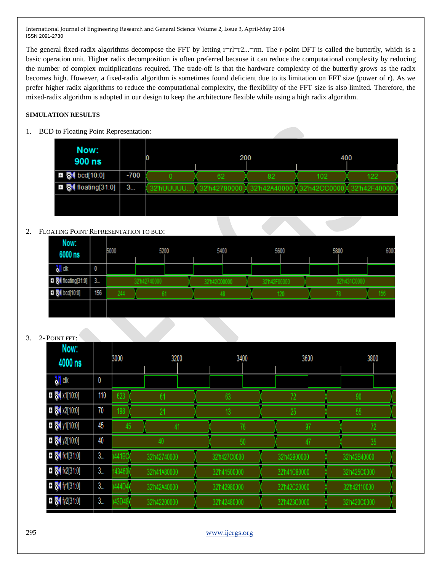The general fixed-radix algorithms decompose the FFT by letting  $r=rl=r2...=rm$ . The r-point DFT is called the butterfly, which is a basic operation unit. Higher radix decomposition is often preferred because it can reduce the computational complexity by reducing the number of complex multiplications required. The trade-off is that the hardware complexity of the butterfly grows as the radix becomes high. However, a fixed-radix algorithm is sometimes found deficient due to its limitation on FFT size (power of r). As we prefer higher radix algorithms to reduce the computational complexity, the flexibility of the FFT size is also limited. Therefore, the mixed-radix algorithm is adopted in our design to keep the architecture flexible while using a high radix algorithm.

# **SIMULATION RESULTS**

1. BCD to Floating Point Representation:

| Now:<br>900 ns                               |        |           | 200          |              | 400         |              |
|----------------------------------------------|--------|-----------|--------------|--------------|-------------|--------------|
| $\Box$ $\Box$ bcd[10:0]                      | $-700$ |           | 62           | 82           | 102         | 122          |
| $\blacksquare$ $\blacksquare$ floating[31:0] | 3      | 32'hUUUUU | 32'h42780000 | 32'h42A40000 | 32'h42CC000 | 32'h42F40000 |
|                                              |        |           |              |              |             |              |

# 2. FLOATING POINT REPRESENTATION TO BCD:

| Now:                      |     |      |             |            |            |      |      |             |     |
|---------------------------|-----|------|-------------|------------|------------|------|------|-------------|-----|
| 6000 ns                   |     | 5000 | 5200        | 5400       | 5600       |      | 5800 |             | 600 |
| ò <mark>∬</mark> dk       | 0   |      |             |            |            |      |      |             |     |
| <b>D</b> M floating[31:0] | 3   |      | 32h42740000 | 32h42C0000 | 32h42F0000 | υνυι |      | 32h431C0000 |     |
| <b>E M</b> bcd[10:0]      | 156 | 244  |             |            |            | 120  |      |             | 156 |
|                           |     |      |             |            |            |      |      |             |     |

# 3. 2- POINT FFT:

| Now:<br>4000 ns            |               | 3200<br>3000          |              |  | 3400         |  |  | 3600         |    | 3800 |              |    |
|----------------------------|---------------|-----------------------|--------------|--|--------------|--|--|--------------|----|------|--------------|----|
| <mark>d∬</mark> clk        | 0             |                       |              |  |              |  |  |              |    |      |              |    |
| $= 51 x1[10:0]$            | 110           | 623<br>61             |              |  | 63           |  |  |              |    |      |              |    |
| $\Box$ 5 x2[10:0]          | 70            | 198                   | 21           |  |              |  |  | 25           |    | 55   |              |    |
| $\blacksquare$ My1[10:0]   | 45            | 45<br>41              |              |  | 76           |  |  | 97           |    | 72   |              |    |
| $\blacksquare$ My2[10:0]   | 40            | 40                    |              |  | 50           |  |  |              | 47 |      |              | 35 |
| $\blacksquare$ M fx1[31:0] | 3 <sub></sub> | 441BC                 | 32'h42740000 |  | 32'h427C0000 |  |  | 32'h42900000 |    |      | 32'h42B40000 |    |
| $\Box$ $\Box$ fx2[31:0]    | 3             | 43460                 | 32'h41A80000 |  | 32'h41500000 |  |  | 32'h41C80000 |    |      | 32'h425C0000 |    |
| $\blacksquare$ 5 (17131:0) | 3 <sub></sub> | 144D4<br>32'h42A40000 |              |  | 32'h42980000 |  |  | 32'h42C20000 |    |      | 32'h42110000 |    |
| $\Box$ $\Box$ fy2[31:0]    | 3             | 43D48                 | 32'h42200000 |  | 32'h42480000 |  |  | 32h423C0000  |    |      | 32'h420C0000 |    |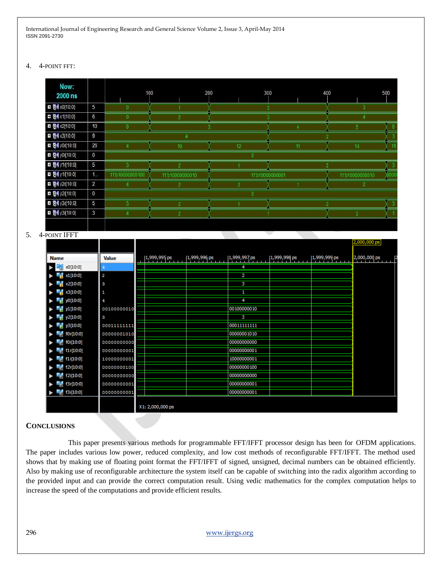#### 4. 4-POINT FFT:

| Now:<br>2000 ns          |                | 100             |                | 200 | 300             | 400             | 500  |
|--------------------------|----------------|-----------------|----------------|-----|-----------------|-----------------|------|
| <b>EI 54 x0[10:0]</b>    | 5              |                 |                |     |                 |                 |      |
| <b>□ 图</b> x1[10:0]      | 6              |                 |                |     |                 |                 |      |
| <b>0</b> 8 x2[10:0]      | 10             |                 |                |     |                 |                 |      |
| <b>EI &amp; x3[10:0]</b> | 9              |                 |                |     |                 |                 |      |
| <b>D</b> 81 y0r[10:0]    | 26             |                 |                |     |                 |                 | 16   |
| <b>□ 6</b> y0i[10:0]     | $\mathbf 0$    |                 |                |     |                 |                 |      |
| <b>■ 例</b> y1r[10:0]     | 5              |                 |                |     |                 |                 |      |
| <b>El 84</b> y1i[10:0]   | 1.             | 11'b10000000100 | 11010000000010 |     | 11/b10000000001 | 11'b10000000010 | )000 |
| <b>D</b> 8 y2r[10:0]     | $\overline{2}$ |                 |                |     |                 |                 |      |
| <b>□ 6</b> y2i[10:0]     | $\mathbf 0$    |                 |                |     |                 |                 |      |
| <b>El SV</b> y3r[10:0]   | 5              |                 |                |     |                 |                 |      |
| <b>0</b> 84 y3i[10:0]    | 3              |                 |                |     |                 |                 |      |
|                          |                |                 |                |     |                 |                 |      |

#### 5. 4-POINT IFFT

|                          |              |                  |              |              |              |              | 2,000,000 ps |
|--------------------------|--------------|------------------|--------------|--------------|--------------|--------------|--------------|
| <b>Name</b>              | <b>Value</b> | 1,999,995 ps     | 1,999,996 ps | 1,999,997 ps | 1,999,998 ps | 1,999,999 ps | 2,000,000 ps |
| x0[10:0]                 |              |                  |              | 4            |              |              |              |
| $\frac{1}{2}$ x1[10:0]   | 2            |                  |              | 2            |              |              |              |
| $\frac{1}{2}$ x2[10:0]   | з            |                  |              | 3            |              |              |              |
| $\frac{1}{2}$ x3[10:0]   | 1            |                  |              | 1            |              |              |              |
| $\frac{1}{10}$ y0[10:0]  | 4            |                  |              | 4            |              |              |              |
| $\frac{1}{10}$ y1 [10:0] | 00100000010  |                  |              | 00100000010  |              |              |              |
| y2[10:0]                 | з            |                  |              | з            |              |              |              |
| $\frac{1}{10}$ y3[10:0]  | 00011111111  |                  |              | 00011111111  |              |              |              |
| f(0r[10:0])              | 00000001010  |                  |              | 00000001010  |              |              |              |
| $^{6}$ f0i[10:0]         | 00000000000  |                  |              | 00000000000  |              |              |              |
| f1r[10:0]                | 00000000001  |                  |              | 00000000001  |              |              |              |
| $\frac{1}{2}$ f1i[10:0]  | 10000000001  |                  |              | 10000000001  |              |              |              |
| f2r[10:0]                | 00000000100  |                  |              | 00000000100  |              |              |              |
| $_{\odot}$ f2i[10:0]     | 00000000000  |                  |              | 00000000000  |              |              |              |
| $\blacksquare$ f3r[10:0] | 00000000001  |                  |              | 00000000001  |              |              |              |
| f3i[10:0]                | 00000000001  |                  |              | 00000000001  |              |              |              |
|                          |              | X1: 2,000,000 ps |              |              |              |              |              |

## **CONCLUSIONS**

 This paper presents various methods for programmable FFT/IFFT processor design has been for OFDM applications. The paper includes various low power, reduced complexity, and low cost methods of reconfigurable FFT/IFFT. The method used shows that by making use of floating point format the FFT/IFFT of signed, unsigned, decimal numbers can be obtained efficiently. Also by making use of reconfigurable architecture the system itself can be capable of switching into the radix algorithm according to the provided input and can provide the correct computation result. Using vedic mathematics for the complex computation helps to increase the speed of the computations and provide efficient results.